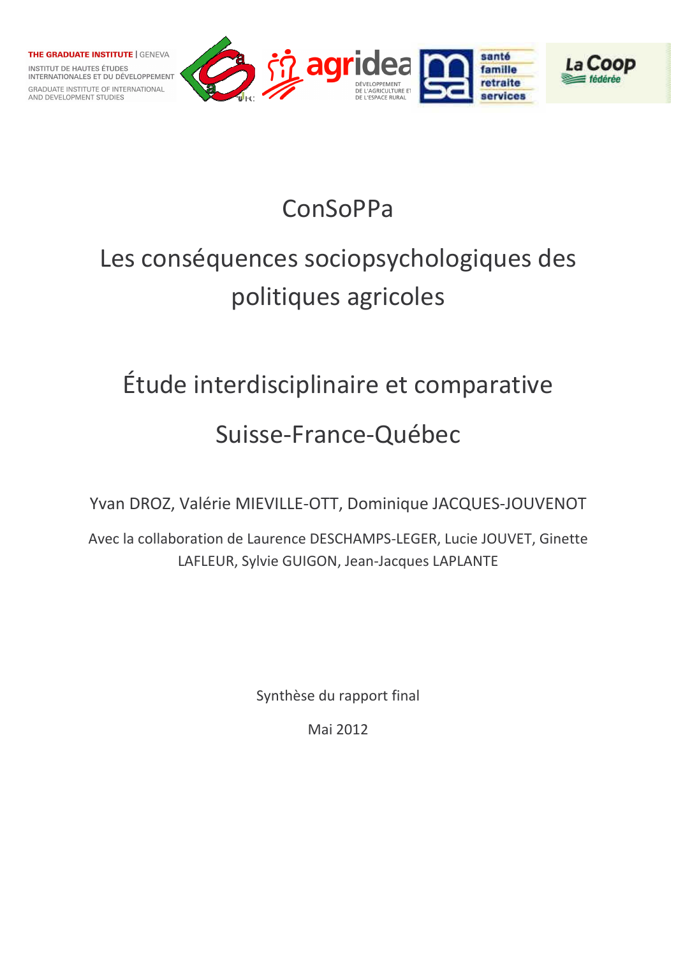

## ConSoPPa

# Les conséquences sociopsychologiques des politiques agricoles

## Étude interdisciplinaire et comparative

## Suisse-France-Québec

Yvan DROZ, Valérie MIEVILLE-OTT, Dominique JACQUES-JOUVENOT

Avec la collaboration de Laurence DESCHAMPS-LEGER, Lucie JOUVET, Ginette LAFLEUR, Sylvie GUIGON, Jean-Jacques LAPLANTE

Synthèse du rapport final

Mai 2012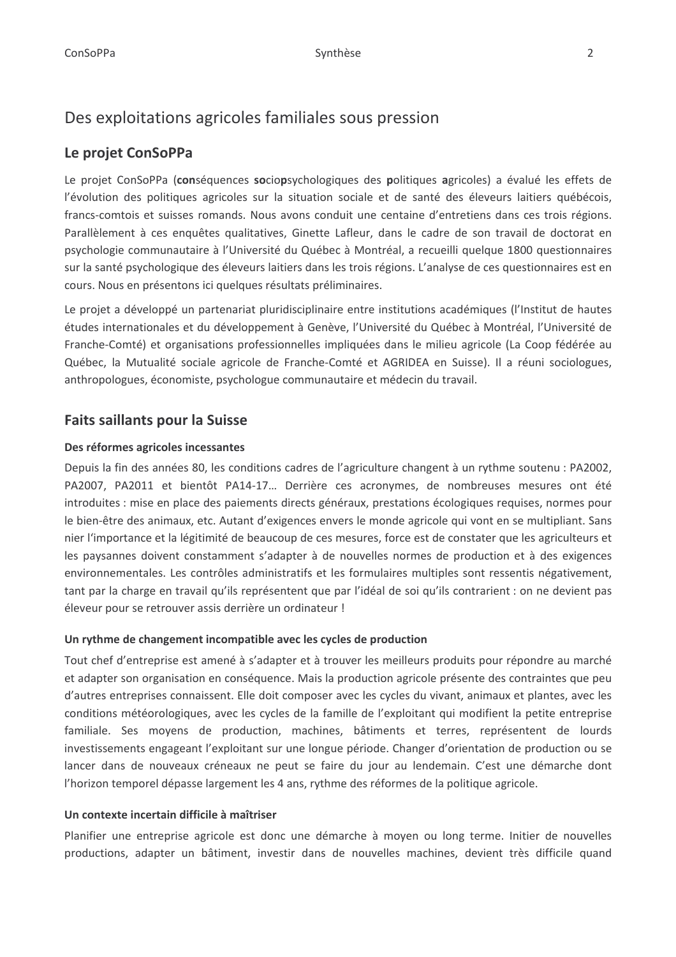## Des exploitations agricoles familiales sous pression

## Le projet ConSoPPa

Le projet ConSoPPa (conséquences sociopsychologiques des politiques agricoles) a évalué les effets de l'évolution des politiques agricoles sur la situation sociale et de santé des éleveurs laitiers québécois, francs-comtois et suisses romands. Nous avons conduit une centaine d'entretiens dans ces trois régions. Parallèlement à ces enguêtes qualitatives, Ginette Lafleur, dans le cadre de son travail de doctorat en psychologie communautaire à l'Université du Québec à Montréal, a recueilli quelque 1800 questionnaires sur la santé psychologique des éleveurs laitiers dans les trois régions. L'analyse de ces questionnaires est en cours. Nous en présentons ici quelques résultats préliminaires.

Le projet a développé un partenariat pluridisciplinaire entre institutions académiques (l'Institut de hautes études internationales et du développement à Genève, l'Université du Québec à Montréal, l'Université de Franche-Comté) et organisations professionnelles impliquées dans le milieu agricole (La Coop fédérée au Québec, la Mutualité sociale agricole de Franche-Comté et AGRIDEA en Suisse). Il a réuni sociologues, anthropologues, économiste, psychologue communautaire et médecin du travail.

## **Faits saillants pour la Suisse**

#### Des réformes agricoles incessantes

Depuis la fin des années 80, les conditions cadres de l'agriculture changent à un rythme soutenu : PA2002, PA2007, PA2011 et bientôt PA14-17... Derrière ces acronymes, de nombreuses mesures ont été introduites : mise en place des paiements directs généraux, prestations écologiques requises, normes pour le bien-être des animaux, etc. Autant d'exigences envers le monde agricole qui vont en se multipliant. Sans nier l'importance et la légitimité de beaucoup de ces mesures, force est de constater que les agriculteurs et les paysannes doivent constamment s'adapter à de nouvelles normes de production et à des exigences environnementales. Les contrôles administratifs et les formulaires multiples sont ressentis négativement, tant par la charge en travail qu'ils représentent que par l'idéal de soi qu'ils contrarient : on ne devient pas éleveur pour se retrouver assis derrière un ordinateur !

#### Un rythme de changement incompatible avec les cycles de production

Tout chef d'entreprise est amené à s'adapter et à trouver les meilleurs produits pour répondre au marché et adapter son organisation en conséquence. Mais la production agricole présente des contraintes que peu d'autres entreprises connaissent. Elle doit composer avec les cycles du vivant, animaux et plantes, avec les conditions météorologiques, avec les cycles de la famille de l'exploitant qui modifient la petite entreprise familiale. Ses moyens de production, machines, bâtiments et terres, représentent de lourds investissements engageant l'exploitant sur une longue période. Changer d'orientation de production ou se lancer dans de nouveaux créneaux ne peut se faire du jour au lendemain. C'est une démarche dont l'horizon temporel dépasse largement les 4 ans, rythme des réformes de la politique agricole.

#### Un contexte incertain difficile à maîtriser

Planifier une entreprise agricole est donc une démarche à moyen ou long terme. Initier de nouvelles productions, adapter un bâtiment, investir dans de nouvelles machines, devient très difficile quand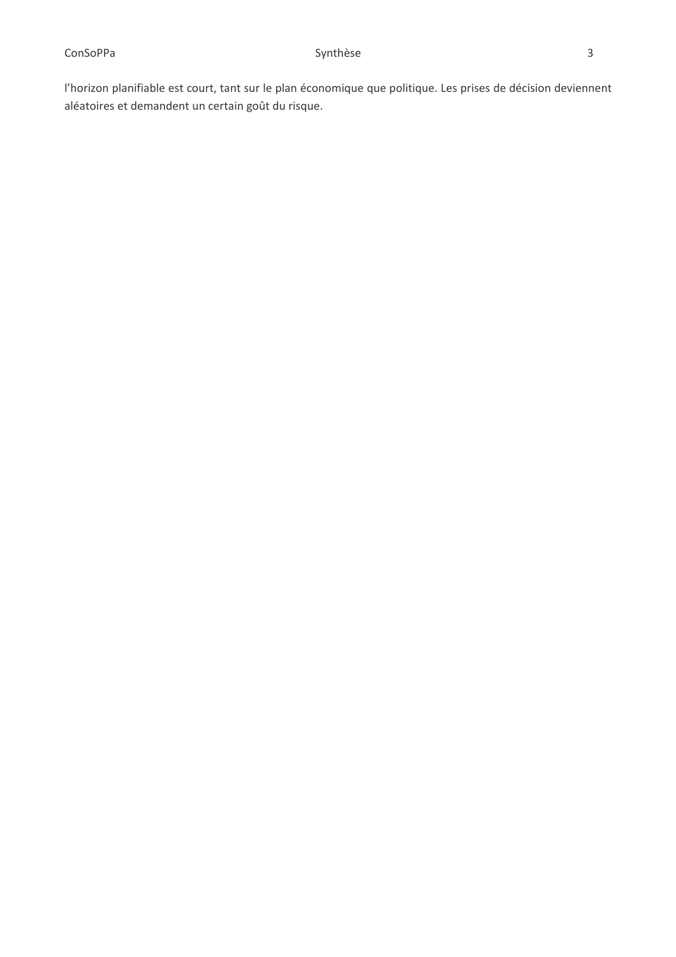l'horizon planifiable est court, tant sur le plan économique que politique. Les prises de décision deviennent aléatoires et demandent un certain goût du risque.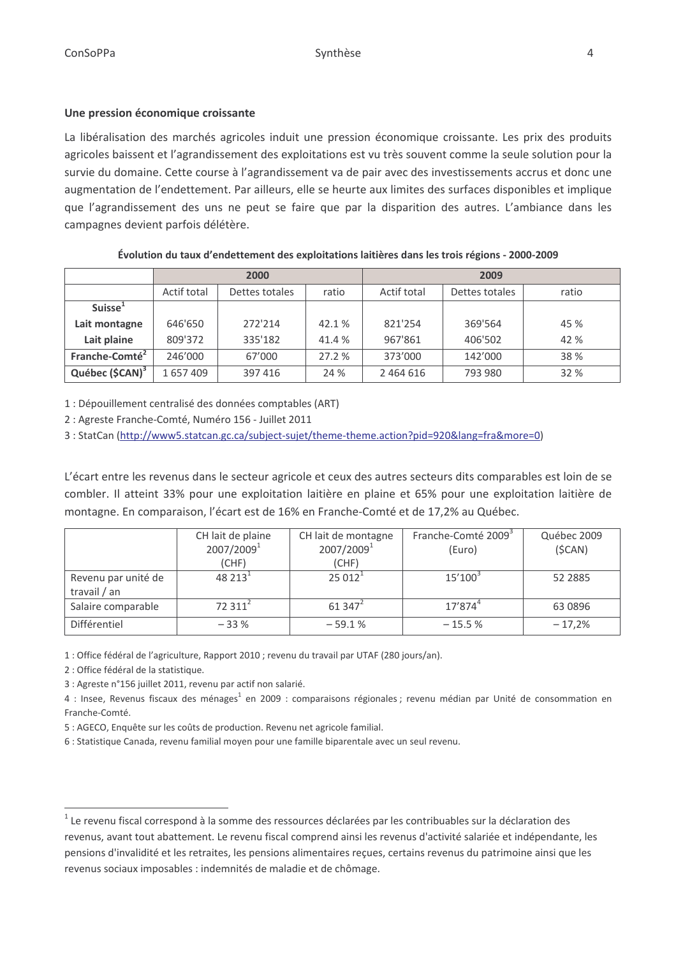#### Une pression économique croissante

La libéralisation des marchés agricoles induit une pression économique croissante. Les prix des produits agricoles baissent et l'agrandissement des exploitations est vu très souvent comme la seule solution pour la survie du domaine. Cette course à l'agrandissement va de pair avec des investissements accrus et donc une augmentation de l'endettement. Par ailleurs, elle se heurte aux limites des surfaces disponibles et implique que l'agrandissement des uns ne peut se faire que par la disparition des autres. L'ambiance dans les campagnes devient parfois délétère.

|                             | 2000        |                |        | 2009        |                |       |
|-----------------------------|-------------|----------------|--------|-------------|----------------|-------|
|                             | Actif total | Dettes totales | ratio  | Actif total | Dettes totales | ratio |
| Suisse <sup>1</sup>         |             |                |        |             |                |       |
| Lait montagne               | 646'650     | 272'214        | 42.1 % | 821'254     | 369'564        | 45 %  |
| Lait plaine                 | 809'372     | 335'182        | 41.4 % | 967'861     | 406'502        | 42 %  |
| Franche-Comté <sup>2</sup>  | 246'000     | 67'000         | 27.2 % | 373'000     | 142'000        | 38 %  |
| Québec (\$CAN) <sup>3</sup> | 1657409     | 397 416        | 24 %   | 2 464 616   | 793 980        | 32 %  |

Évolution du taux d'endettement des exploitations laitières dans les trois régions - 2000-2009

1 : Dépouillement centralisé des données comptables (ART)

2 : Agreste Franche-Comté, Numéro 156 - Juillet 2011

3 : StatCan (http://www5.statcan.gc.ca/subject-sujet/theme-theme.action?pid=920&lang=fra&more=0)

L'écart entre les revenus dans le secteur agricole et ceux des autres secteurs dits comparables est loin de se combler. Il atteint 33% pour une exploitation laitière en plaine et 65% pour une exploitation laitière de montagne. En comparaison, l'écart est de 16% en Franche-Comté et de 17,2% au Québec.

|                                     | CH lait de plaine<br>2007/2009 <sup>1</sup> | CH lait de montagne<br>2007/2009 <sup>1</sup> | Franche-Comté 2009 <sup>3</sup><br>(Euro) | Québec 2009<br>(SCAN) |
|-------------------------------------|---------------------------------------------|-----------------------------------------------|-------------------------------------------|-----------------------|
|                                     | (CHF)                                       | (CHF)                                         |                                           |                       |
| Revenu par unité de<br>travail / an | 48 213 <sup>1</sup>                         | $25012^1$                                     | $15'100^3$                                | 52 2885               |
| Salaire comparable                  | 72.311 <sup>2</sup>                         | $61347^2$                                     | $17'874^4$                                | 63 0896               |
| Différentiel                        | $-33%$                                      | $-59.1%$                                      | $-15.5%$                                  | $-17,2%$              |

1 : Office fédéral de l'agriculture, Rapport 2010 ; revenu du travail par UTAF (280 jours/an).

2 : Office fédéral de la statistique.

3 : Agreste n°156 juillet 2011, revenu par actif non salarié.

4 : Insee, Revenus fiscaux des ménages<sup>1</sup> en 2009 : comparaisons régionales ; revenu médian par Unité de consommation en Franche-Comté.

5 : AGECO, Enquête sur les coûts de production. Revenu net agricole familial.

6 : Statistique Canada, revenu familial moyen pour une famille biparentale avec un seul revenu.

 $1$  Le revenu fiscal correspond à la somme des ressources déclarées par les contribuables sur la déclaration des revenus, avant tout abattement. Le revenu fiscal comprend ainsi les revenus d'activité salariée et indépendante, les pensions d'invalidité et les retraites, les pensions alimentaires reçues, certains revenus du patrimoine ainsi que les revenus sociaux imposables : indemnités de maladie et de chômage.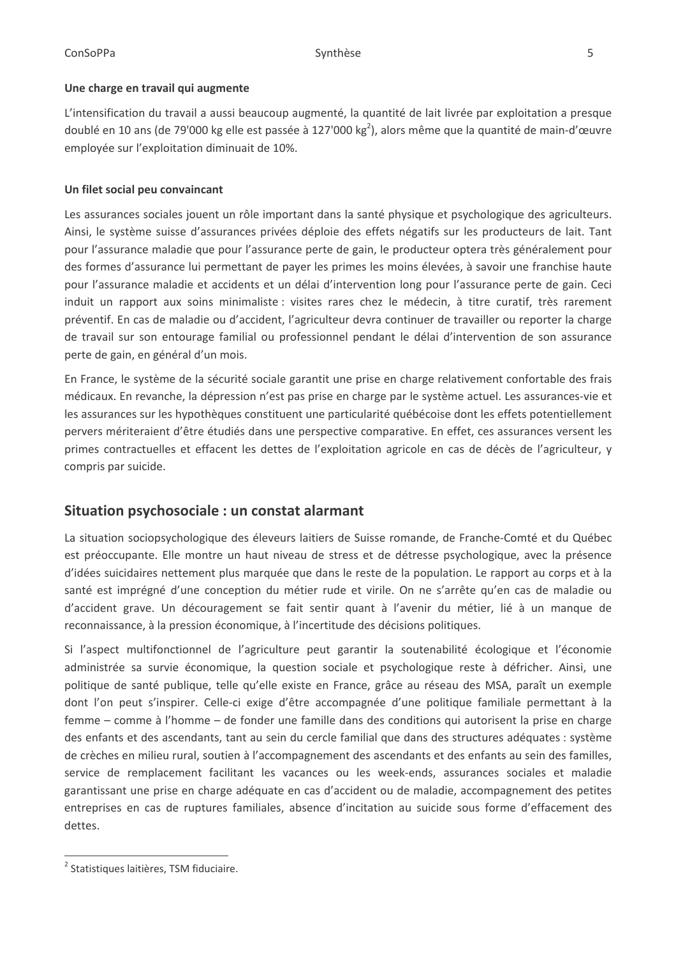#### Une charge en travail qui augmente

L'intensification du travail a aussi beaucoup augmenté, la quantité de lait livrée par exploitation a presque doublé en 10 ans (de 79'000 kg elle est passée à 127'000 kg<sup>2</sup>), alors même que la quantité de main-d'œuvre employée sur l'exploitation diminuait de 10%.

#### Un filet social peu convaincant

Les assurances sociales jouent un rôle important dans la santé physique et psychologique des agriculteurs. Ainsi, le système suisse d'assurances privées déploie des effets négatifs sur les producteurs de lait. Tant pour l'assurance maladie que pour l'assurance perte de gain, le producteur optera très généralement pour des formes d'assurance lui permettant de payer les primes les moins élevées, à savoir une franchise haute pour l'assurance maladie et accidents et un délai d'intervention long pour l'assurance perte de gain. Ceci induit un rapport aux soins minimaliste : visites rares chez le médecin, à titre curatif, très rarement préventif. En cas de maladie ou d'accident, l'agriculteur devra continuer de travailler ou reporter la charge de travail sur son entourage familial ou professionnel pendant le délai d'intervention de son assurance perte de gain, en général d'un mois.

En France, le système de la sécurité sociale garantit une prise en charge relativement confortable des frais médicaux. En revanche, la dépression n'est pas prise en charge par le système actuel. Les assurances-vie et les assurances sur les hypothèques constituent une particularité québécoise dont les effets potentiellement pervers mériteraient d'être étudiés dans une perspective comparative. En effet, ces assurances versent les primes contractuelles et effacent les dettes de l'exploitation agricole en cas de décès de l'agriculteur, y compris par suicide.

## Situation psychosociale : un constat alarmant

La situation sociopsychologique des éleveurs laitiers de Suisse romande, de Franche-Comté et du Québec est préoccupante. Elle montre un haut niveau de stress et de détresse psychologique, avec la présence d'idées suicidaires nettement plus marquée que dans le reste de la population. Le rapport au corps et à la santé est imprégné d'une conception du métier rude et virile. On ne s'arrête qu'en cas de maladie ou d'accident grave. Un découragement se fait sentir quant à l'avenir du métier, lié à un manque de reconnaissance, à la pression économique, à l'incertitude des décisions politiques.

Si l'aspect multifonctionnel de l'agriculture peut garantir la soutenabilité écologique et l'économie administrée sa survie économique, la question sociale et psychologique reste à défricher. Ainsi, une politique de santé publique, telle qu'elle existe en France, grâce au réseau des MSA, paraît un exemple dont l'on peut s'inspirer. Celle-ci exige d'être accompagnée d'une politique familiale permettant à la femme – comme à l'homme – de fonder une famille dans des conditions qui autorisent la prise en charge des enfants et des ascendants, tant au sein du cercle familial que dans des structures adéquates : système de crèches en milieu rural, soutien à l'accompagnement des ascendants et des enfants au sein des familles, service de remplacement facilitant les vacances ou les week-ends, assurances sociales et maladie garantissant une prise en charge adéquate en cas d'accident ou de maladie, accompagnement des petites entreprises en cas de ruptures familiales, absence d'incitation au suicide sous forme d'effacement des dettes.

<sup>&</sup>lt;sup>2</sup> Statistiques laitières, TSM fiduciaire.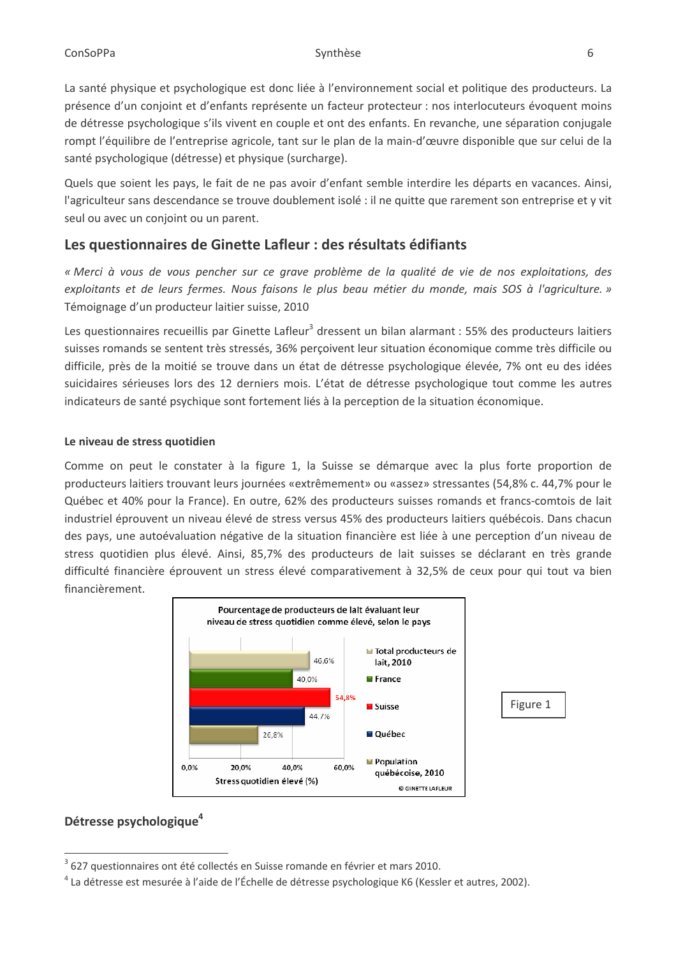La santé physique et psychologique est donc liée à l'environnement social et politique des producteurs. La présence d'un conjoint et d'enfants représente un facteur protecteur : nos interlocuteurs évoquent moins de détresse psychologique s'ils vivent en couple et ont des enfants. En revanche, une séparation conjugale rompt l'équilibre de l'entreprise agricole, tant sur le plan de la main-d'œuvre disponible que sur celui de la santé psychologique (détresse) et physique (surcharge).

Quels que soient les pays, le fait de ne pas avoir d'enfant semble interdire les départs en vacances. Ainsi, l'agriculteur sans descendance se trouve doublement isolé : il ne quitte que rarement son entreprise et y vit seul ou avec un conjoint ou un parent.

## Les questionnaires de Ginette Lafleur : des résultats édifiants

« Merci à vous de vous pencher sur ce grave problème de la qualité de vie de nos exploitations, des exploitants et de leurs fermes. Nous faisons le plus beau métier du monde, mais SOS à l'agriculture. » Témoignage d'un producteur laitier suisse, 2010

Les questionnaires recueillis par Ginette Lafleur<sup>3</sup> dressent un bilan alarmant : 55% des producteurs laitiers suisses romands se sentent très stressés, 36% perçoivent leur situation économique comme très difficile ou difficile, près de la moitié se trouve dans un état de détresse psychologique élevée, 7% ont eu des idées suicidaires sérieuses lors des 12 derniers mois. L'état de détresse psychologique tout comme les autres indicateurs de santé psychique sont fortement liés à la perception de la situation économique.

#### Le niveau de stress quotidien

Comme on peut le constater à la figure 1, la Suisse se démarque avec la plus forte proportion de producteurs laitiers trouvant leurs journées «extrêmement» ou «assez» stressantes (54,8% c. 44,7% pour le Québec et 40% pour la France). En outre, 62% des producteurs suisses romands et francs-comtois de lait industriel éprouvent un niveau élevé de stress versus 45% des producteurs laitiers québécois. Dans chacun des pays, une autoévaluation négative de la situation financière est liée à une perception d'un niveau de stress quotidien plus élevé. Ainsi, 85,7% des producteurs de lait suisses se déclarant en très grande difficulté financière éprouvent un stress élevé comparativement à 32,5% de ceux pour qui tout va bien financièrement.



## Détresse psychologique<sup>4</sup>

<sup>627</sup> questionnaires ont été collectés en Suisse romande en février et mars 2010.

<sup>&</sup>lt;sup>4</sup> La détresse est mesurée à l'aide de l'Échelle de détresse psychologique K6 (Kessler et autres, 2002).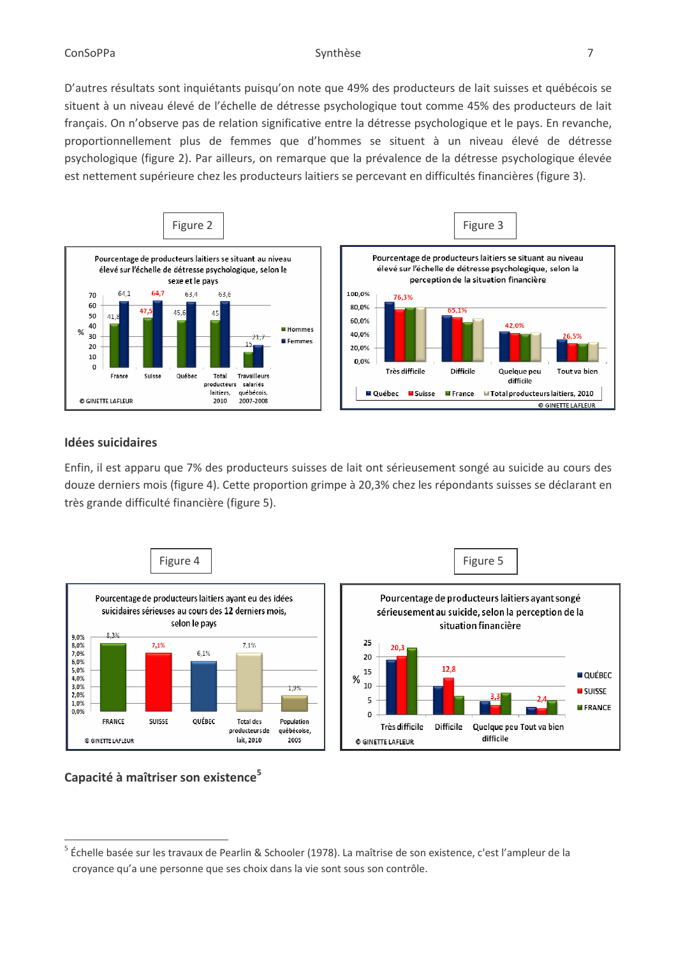D'autres résultats sont inquiétants puisqu'on note que 49% des producteurs de lait suisses et québécois se situent à un niveau élevé de l'échelle de détresse psychologique tout comme 45% des producteurs de lait français. On n'observe pas de relation significative entre la détresse psychologique et le pays. En revanche, proportionnellement plus de femmes que d'hommes se situent à un niveau élevé de détresse psychologique (figure 2). Par ailleurs, on remarque que la prévalence de la détresse psychologique élevée est nettement supérieure chez les producteurs laitiers se percevant en difficultés financières (figure 3).



#### **Idées suicidaires**

Enfin, il est apparu que 7% des producteurs suisses de lait ont sérieusement songé au suicide au cours des douze derniers mois (figure 4). Cette proportion grimpe à 20,3% chez les répondants suisses se déclarant en très grande difficulté financière (figure 5).



### Capacité à maîtriser son existence<sup>5</sup>

<sup>&</sup>lt;sup>5</sup> Échelle basée sur les travaux de Pearlin & Schooler (1978). La maîtrise de son existence, c'est l'ampleur de la croyance qu'a une personne que ses choix dans la vie sont sous son contrôle.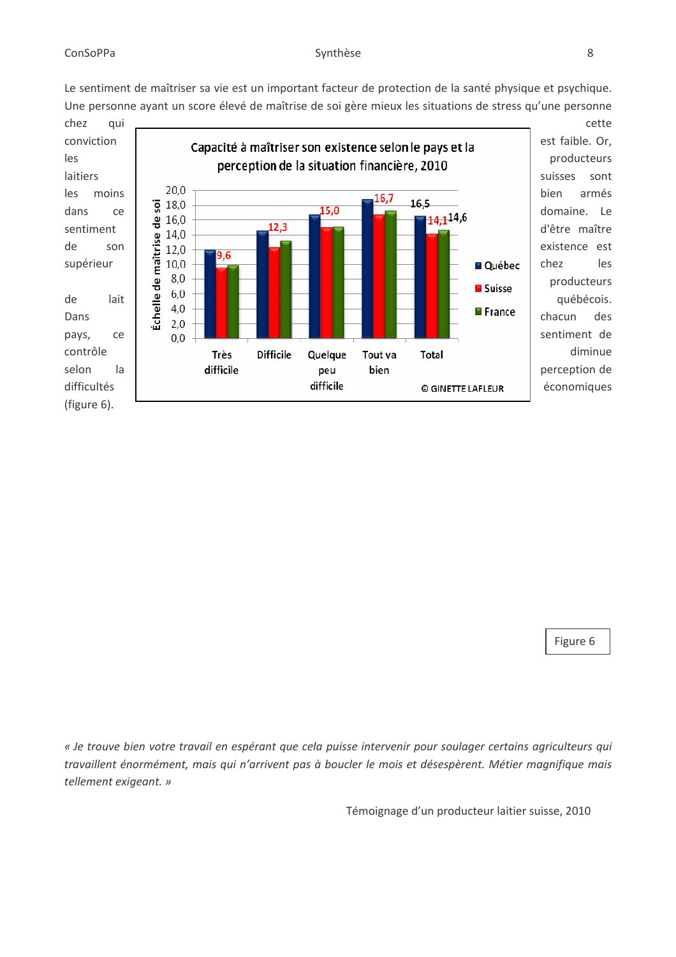Le sentiment de maîtriser sa vie est un important facteur de protection de la santé physique et psychique. Une personne ayant un score élevé de maîtrise de soi gère mieux les situations de stress qu'une personne



est faible. Or, producteurs sont armés domaine. Le d'être maître existence est les producteurs québécois. des sentiment de diminue perception de

Figure 6

« Je trouve bien votre travail en espérant que cela puisse intervenir pour soulager certains agriculteurs qui travaillent énormément, mais qui n'arrivent pas à boucler le mois et désespèrent. Métier magnifique mais tellement exigeant. »

Témoignage d'un producteur laitier suisse, 2010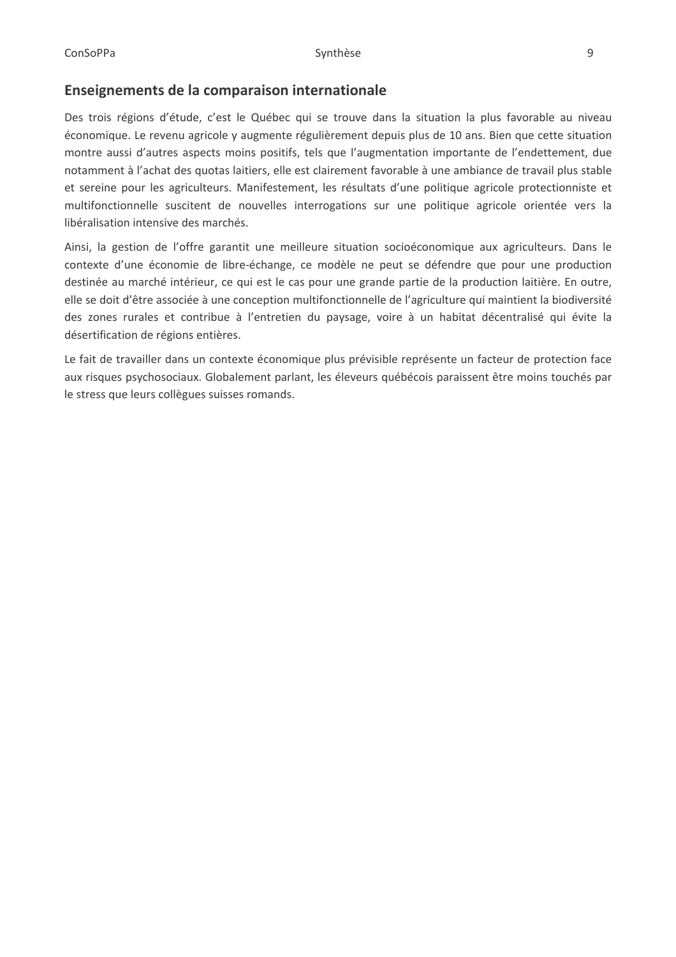### Enseignements de la comparaison internationale

Des trois régions d'étude, c'est le Québec qui se trouve dans la situation la plus favorable au niveau économique. Le revenu agricole y augmente régulièrement depuis plus de 10 ans. Bien que cette situation montre aussi d'autres aspects moins positifs, tels que l'augmentation importante de l'endettement, due notamment à l'achat des quotas laitiers, elle est clairement favorable à une ambiance de travail plus stable et sereine pour les agriculteurs. Manifestement, les résultats d'une politique agricole protectionniste et multifonctionnelle suscitent de nouvelles interrogations sur une politique agricole orientée vers la libéralisation intensive des marchés.

Ainsi, la gestion de l'offre garantit une meilleure situation socioéconomique aux agriculteurs. Dans le contexte d'une économie de libre-échange, ce modèle ne peut se défendre que pour une production destinée au marché intérieur, ce qui est le cas pour une grande partie de la production laitière. En outre, elle se doit d'être associée à une conception multifonctionnelle de l'agriculture qui maintient la biodiversité des zones rurales et contribue à l'entretien du paysage, voire à un habitat décentralisé qui évite la désertification de régions entières.

Le fait de travailler dans un contexte économique plus prévisible représente un facteur de protection face aux risques psychosociaux. Globalement parlant, les éleveurs québécois paraissent être moins touchés par le stress que leurs collègues suisses romands.